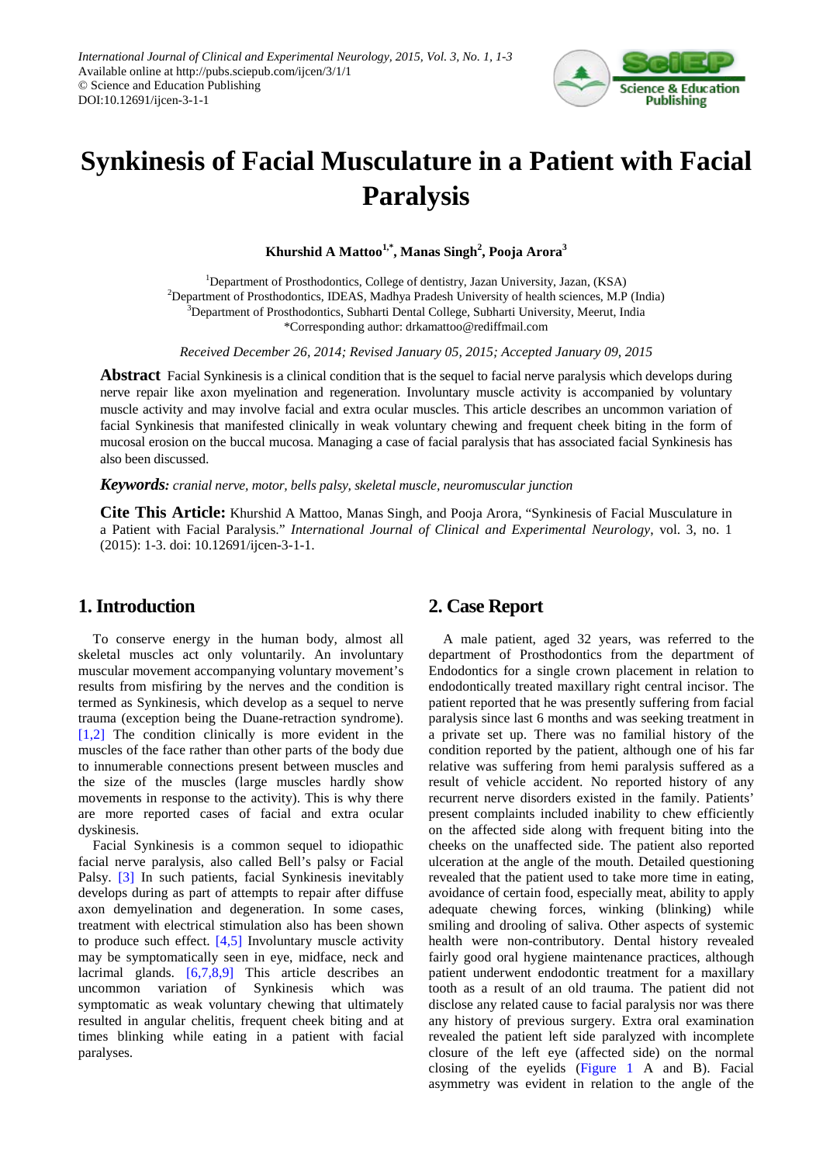

# **Synkinesis of Facial Musculature in a Patient with Facial Paralysis**

**Khurshid A Mattoo1,\*, Manas Singh2 , Pooja Arora<sup>3</sup>**

<sup>1</sup>Department of Prosthodontics, College of dentistry, Jazan University, Jazan, (KSA) <sup>2</sup>Department of Prosthodontics, IDEAS, Madhya Pradesh University of health sciences, M.P (India) <sup>3</sup>Department of Prosthodontics, Subharti Dental College, Subharti University, Meerut, India \*Corresponding author: drkamattoo@rediffmail.com

*Received December 26, 2014; Revised January 05, 2015; Accepted January 09, 2015*

**Abstract** Facial Synkinesis is a clinical condition that is the sequel to facial nerve paralysis which develops during nerve repair like axon myelination and regeneration. Involuntary muscle activity is accompanied by voluntary muscle activity and may involve facial and extra ocular muscles. This article describes an uncommon variation of facial Synkinesis that manifested clinically in weak voluntary chewing and frequent cheek biting in the form of mucosal erosion on the buccal mucosa. Managing a case of facial paralysis that has associated facial Synkinesis has also been discussed.

*Keywords: cranial nerve, motor, bells palsy, skeletal muscle, neuromuscular junction*

**Cite This Article:** Khurshid A Mattoo, Manas Singh, and Pooja Arora, "Synkinesis of Facial Musculature in a Patient with Facial Paralysis." *International Journal of Clinical and Experimental Neurology*, vol. 3, no. 1 (2015): 1-3. doi: 10.12691/ijcen-3-1-1.

## **1. Introduction**

To conserve energy in the human body, almost all skeletal muscles act only voluntarily. An involuntary muscular movement accompanying voluntary movement's results from misfiring by the nerves and the condition is termed as Synkinesis, which develop as a sequel to nerve trauma (exception being the Duane-retraction syndrome). [\[1,2\]](#page-2-0) The condition clinically is more evident in the muscles of the face rather than other parts of the body due to innumerable connections present between muscles and the size of the muscles (large muscles hardly show movements in response to the activity). This is why there are more reported cases of facial and extra ocular dyskinesis.

Facial Synkinesis is a common sequel to idiopathic facial nerve paralysis, also called Bell's palsy or Facial Palsy. [\[3\]](#page-2-1) In such patients, facial Synkinesis inevitably develops during as part of attempts to repair after diffuse axon demyelination and degeneration. In some cases, treatment with electrical stimulation also has been shown to produce such effect. [\[4,5\]](#page-2-2) Involuntary muscle activity may be symptomatically seen in eye, midface, neck and lacrimal glands. [\[6,7,8,9\]](#page-2-3) This article describes an uncommon variation of Synkinesis which was symptomatic as weak voluntary chewing that ultimately resulted in angular chelitis, frequent cheek biting and at times blinking while eating in a patient with facial paralyses.

## **2. Case Report**

A male patient, aged 32 years, was referred to the department of Prosthodontics from the department of Endodontics for a single crown placement in relation to endodontically treated maxillary right central incisor. The patient reported that he was presently suffering from facial paralysis since last 6 months and was seeking treatment in a private set up. There was no familial history of the condition reported by the patient, although one of his far relative was suffering from hemi paralysis suffered as a result of vehicle accident. No reported history of any recurrent nerve disorders existed in the family. Patients' present complaints included inability to chew efficiently on the affected side along with frequent biting into the cheeks on the unaffected side. The patient also reported ulceration at the angle of the mouth. Detailed questioning revealed that the patient used to take more time in eating, avoidance of certain food, especially meat, ability to apply adequate chewing forces, winking (blinking) while smiling and drooling of saliva. Other aspects of systemic health were non-contributory. Dental history revealed fairly good oral hygiene maintenance practices, although patient underwent endodontic treatment for a maxillary tooth as a result of an old trauma. The patient did not disclose any related cause to facial paralysis nor was there any history of previous surgery. Extra oral examination revealed the patient left side paralyzed with incomplete closure of the left eye (affected side) on the normal closing of the eyelids [\(Figure 1](#page-1-0) A and B). Facial asymmetry was evident in relation to the angle of the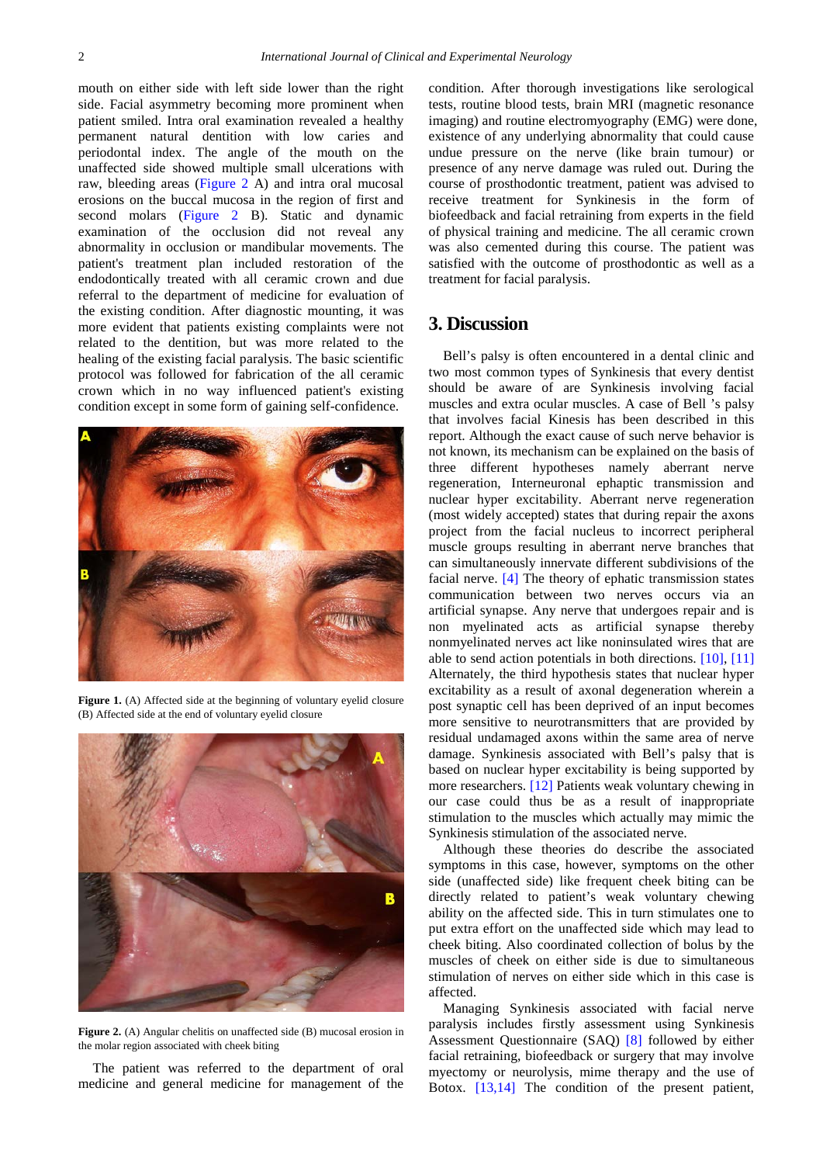mouth on either side with left side lower than the right side. Facial asymmetry becoming more prominent when patient smiled. Intra oral examination revealed a healthy permanent natural dentition with low caries and periodontal index. The angle of the mouth on the unaffected side showed multiple small ulcerations with raw, bleeding areas [\(Figure 2](#page-1-1) A) and intra oral mucosal erosions on the buccal mucosa in the region of first and second molars [\(Figure 2](#page-1-1) B). Static and dynamic examination of the occlusion did not reveal any abnormality in occlusion or mandibular movements. The patient's treatment plan included restoration of the endodontically treated with all ceramic crown and due referral to the department of medicine for evaluation of the existing condition. After diagnostic mounting, it was more evident that patients existing complaints were not related to the dentition, but was more related to the healing of the existing facial paralysis. The basic scientific protocol was followed for fabrication of the all ceramic crown which in no way influenced patient's existing condition except in some form of gaining self-confidence.

<span id="page-1-0"></span>

Figure 1. (A) Affected side at the beginning of voluntary eyelid closure (B) Affected side at the end of voluntary eyelid closure

<span id="page-1-1"></span>

Figure 2. (A) Angular chelitis on unaffected side (B) mucosal erosion in the molar region associated with cheek biting

The patient was referred to the department of oral medicine and general medicine for management of the

condition. After thorough investigations like serological tests, routine blood tests, brain MRI (magnetic resonance imaging) and routine electromyography (EMG) were done, existence of any underlying abnormality that could cause undue pressure on the nerve (like brain tumour) or presence of any nerve damage was ruled out. During the course of prosthodontic treatment, patient was advised to receive treatment for Synkinesis in the form of biofeedback and facial retraining from experts in the field of physical training and medicine. The all ceramic crown was also cemented during this course. The patient was satisfied with the outcome of prosthodontic as well as a treatment for facial paralysis.

### **3. Discussion**

Bell's palsy is often encountered in a dental clinic and two most common types of Synkinesis that every dentist should be aware of are Synkinesis involving facial muscles and extra ocular muscles. A case of Bell 's palsy that involves facial Kinesis has been described in this report. Although the exact cause of such nerve behavior is not known, its mechanism can be explained on the basis of three different hypotheses namely aberrant nerve regeneration, Interneuronal ephaptic transmission and nuclear hyper excitability. Aberrant nerve regeneration (most widely accepted) states that during repair the axons project from the facial nucleus to incorrect peripheral muscle groups resulting in aberrant nerve branches that can simultaneously innervate different subdivisions of the facial nerve. [\[4\]](#page-2-2) The theory of ephatic transmission states communication between two nerves occurs via an artificial synapse. Any nerve that undergoes repair and is non myelinated acts as artificial synapse thereby nonmyelinated nerves act like noninsulated wires that are able to send action potentials in both directions. [\[10\],](#page-2-4) [\[11\]](#page-2-5) Alternately, the third hypothesis states that nuclear hyper excitability as a result of axonal degeneration wherein a post synaptic cell has been deprived of an input becomes more sensitive to neurotransmitters that are provided by residual undamaged axons within the same area of nerve damage. Synkinesis associated with Bell's palsy that is based on nuclear hyper excitability is being supported by more researchers. [\[12\]](#page-2-6) Patients weak voluntary chewing in our case could thus be as a result of inappropriate stimulation to the muscles which actually may mimic the Synkinesis stimulation of the associated nerve.

Although these theories do describe the associated symptoms in this case, however, symptoms on the other side (unaffected side) like frequent cheek biting can be directly related to patient's weak voluntary chewing ability on the affected side. This in turn stimulates one to put extra effort on the unaffected side which may lead to cheek biting. Also coordinated collection of bolus by the muscles of cheek on either side is due to simultaneous stimulation of nerves on either side which in this case is affected.

Managing Synkinesis associated with facial nerve paralysis includes firstly assessment using Synkinesis Assessment Questionnaire (SAQ) [\[8\]](#page-2-7) followed by either facial retraining, biofeedback or surgery that may involve myectomy or neurolysis, mime therapy and the use of Botox. [\[13,14\]](#page-2-8) The condition of the present patient,